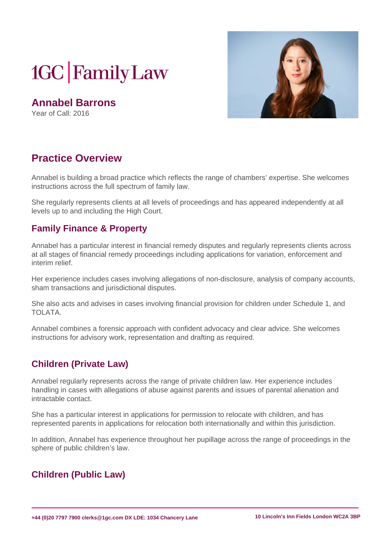# **1GC** Family Law

**Annabel Barrons** Year of Call: 2016



# **Practice Overview**

Annabel is building a broad practice which reflects the range of chambers' expertise. She welcomes instructions across the full spectrum of family law.

She regularly represents clients at all levels of proceedings and has appeared independently at all levels up to and including the High Court.

#### **Family Finance & Property**

Annabel has a particular interest in financial remedy disputes and regularly represents clients across at all stages of financial remedy proceedings including applications for variation, enforcement and interim relief.

Her experience includes cases involving allegations of non-disclosure, analysis of company accounts, sham transactions and jurisdictional disputes.

She also acts and advises in cases involving financial provision for children under Schedule 1, and TOLATA.

Annabel combines a forensic approach with confident advocacy and clear advice. She welcomes instructions for advisory work, representation and drafting as required.

# **Children (Private Law)**

Annabel regularly represents across the range of private children law. Her experience includes handling in cases with allegations of abuse against parents and issues of parental alienation and intractable contact.

She has a particular interest in applications for permission to relocate with children, and has represented parents in applications for relocation both internationally and within this jurisdiction.

In addition, Annabel has experience throughout her pupillage across the range of proceedings in the sphere of public children's law.

# **Children (Public Law)**

**+44 (0)20 7797 7900 clerks@1gc.com DX LDE: 1034 Chancery Lane 10 Lincoln's Inn Fields London WC2A 3BP**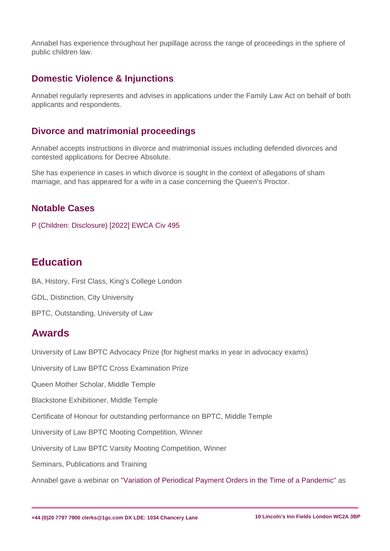Annabel has experience throughout her pupillage across the range of proceedings in the sphere of public children law.

#### Domestic Violence & Injunctions

Annabel regularly represents and advises in applications under the Family Law Act on behalf of both applicants and respondents.

#### Divorce and matrimonial proceedings

Annabel accepts instructions in divorce and matrimonial issues including defended divorces and contested applications for Decree Absolute.

She has experience in cases in which divorce is sought in the context of allegations of sham marriage, and has appeared for a wife in a case concerning the Queen's Proctor.

#### Notable Cases

[P \(Children: Disclosure\) \[2022\] EWCA Civ 495](�� h t t p s : / / w w w . b a i l i i . o r g / e w / c a s e s / E W C A / C i v / 2 0 2 2 / 4 9 5 . h t m l)

# **Education**

BA, History, First Class, King's College London

GDL, Distinction, City University

BPTC, Outstanding, University of Law

# Awards

University of Law BPTC Advocacy Prize (for highest marks in year in advocacy exams)

University of Law BPTC Cross Examination Prize

Queen Mother Scholar, Middle Temple

Blackstone Exhibitioner, Middle Temple

Certificate of Honour for outstanding performance on BPTC, Middle Temple

University of Law BPTC Mooting Competition, Winner

University of Law BPTC Varsity Mooting Competition, Winner

Seminars, Publications and Training

Annabel gave a webinar on ["Variation of Periodical Payment Orders in the Time of a Pandemic"](�� h t t p s : / / 1 g c . c o m / s e m i n a r s / v i e w / a n n a b e l - b a r r o n s - o f - 1 g c - f a m i l y - l a w - v a r i a t i o n - o f - p e r i o d i c a l - p a y m e n t - o r d e r s - i n - t h e - t i m e - o f - a - p a n d e m i c) as